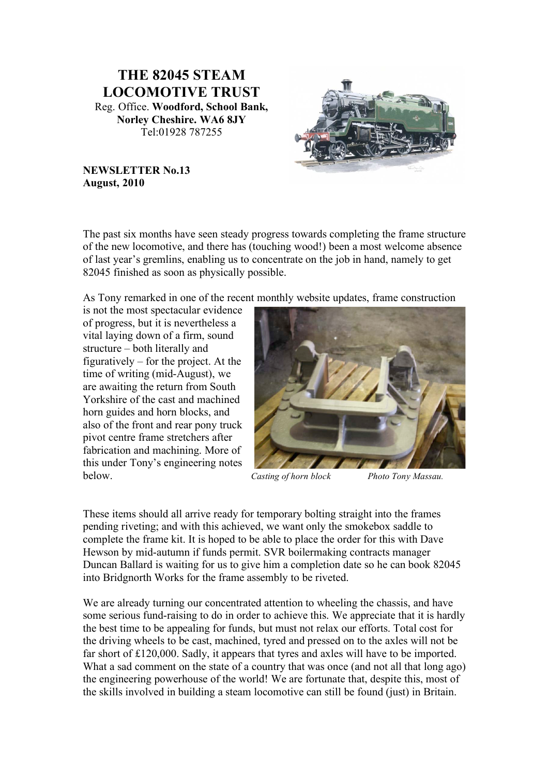# **THE 82045 STEAM LOCOMOTIVE TRUST** Reg. Office. **Woodford, School Bank, Norley Cheshire. WA6 8JY** Tel:01928 787255



#### **NEWSLETTER No.13 August, 2010**

The past six months have seen steady progress towards completing the frame structure of the new locomotive, and there has (touching wood!) been a most welcome absence of last year's gremlins, enabling us to concentrate on the job in hand, namely to get 82045 finished as soon as physically possible.

As Tony remarked in one of the recent monthly website updates, frame construction

is not the most spectacular evidence of progress, but it is nevertheless a vital laying down of a firm, sound structure – both literally and figuratively – for the project. At the time of writing (mid-August), we are awaiting the return from South Yorkshire of the cast and machined horn guides and horn blocks, and also of the front and rear pony truck pivot centre frame stretchers after fabrication and machining. More of this under Tony's engineering notes below. *Casting of horn block Photo Tony Massau.*



These items should all arrive ready for temporary bolting straight into the frames pending riveting; and with this achieved, we want only the smokebox saddle to complete the frame kit. It is hoped to be able to place the order for this with Dave Hewson by mid-autumn if funds permit. SVR boilermaking contracts manager Duncan Ballard is waiting for us to give him a completion date so he can book 82045 into Bridgnorth Works for the frame assembly to be riveted.

We are already turning our concentrated attention to wheeling the chassis, and have some serious fund-raising to do in order to achieve this. We appreciate that it is hardly the best time to be appealing for funds, but must not relax our efforts. Total cost for the driving wheels to be cast, machined, tyred and pressed on to the axles will not be far short of £120,000. Sadly, it appears that tyres and axles will have to be imported. What a sad comment on the state of a country that was once (and not all that long ago) the engineering powerhouse of the world! We are fortunate that, despite this, most of the skills involved in building a steam locomotive can still be found (just) in Britain.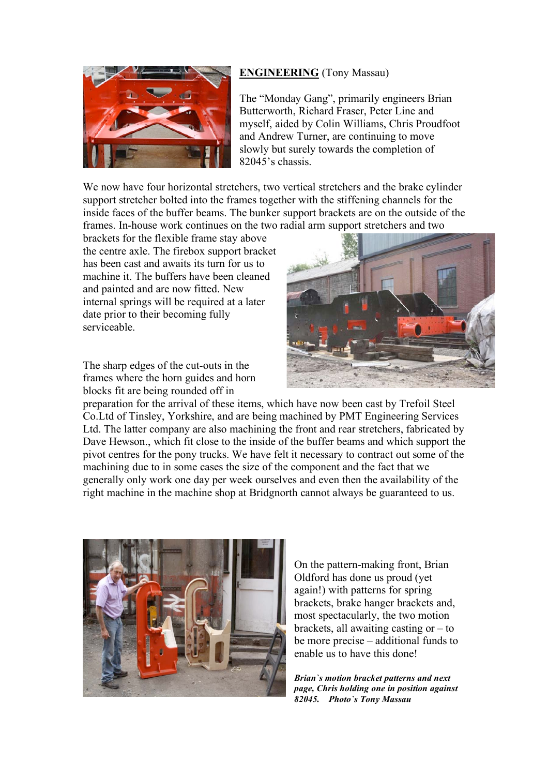#### **ENGINEERING** (Tony Massau)



The "Monday Gang", primarily engineers Brian Butterworth, Richard Fraser, Peter Line and myself, aided by Colin Williams, Chris Proudfoot and Andrew Turner, are continuing to move slowly but surely towards the completion of 82045's chassis.

We now have four horizontal stretchers, two vertical stretchers and the brake cylinder support stretcher bolted into the frames together with the stiffening channels for the inside faces of the buffer beams. The bunker support brackets are on the outside of the frames. In-house work continues on the two radial arm support stretchers and two

brackets for the flexible frame stay above the centre axle. The firebox support bracket has been cast and awaits its turn for us to machine it. The buffers have been cleaned and painted and are now fitted. New internal springs will be required at a later date prior to their becoming fully serviceable.

The sharp edges of the cut-outs in the frames where the horn guides and horn blocks fit are being rounded off in



preparation for the arrival of these items, which have now been cast by Trefoil Steel Co.Ltd of Tinsley, Yorkshire, and are being machined by PMT Engineering Services Ltd. The latter company are also machining the front and rear stretchers, fabricated by Dave Hewson., which fit close to the inside of the buffer beams and which support the pivot centres for the pony trucks. We have felt it necessary to contract out some of the machining due to in some cases the size of the component and the fact that we generally only work one day per week ourselves and even then the availability of the right machine in the machine shop at Bridgnorth cannot always be guaranteed to us.



On the pattern-making front, Brian Oldford has done us proud (yet again!) with patterns for spring brackets, brake hanger brackets and, most spectacularly, the two motion brackets, all awaiting casting or  $-$  to be more precise – additional funds to enable us to have this done!

*Brian`s motion bracket patterns and next page, Chris holding one in position against 82045. Photo`s Tony Massau*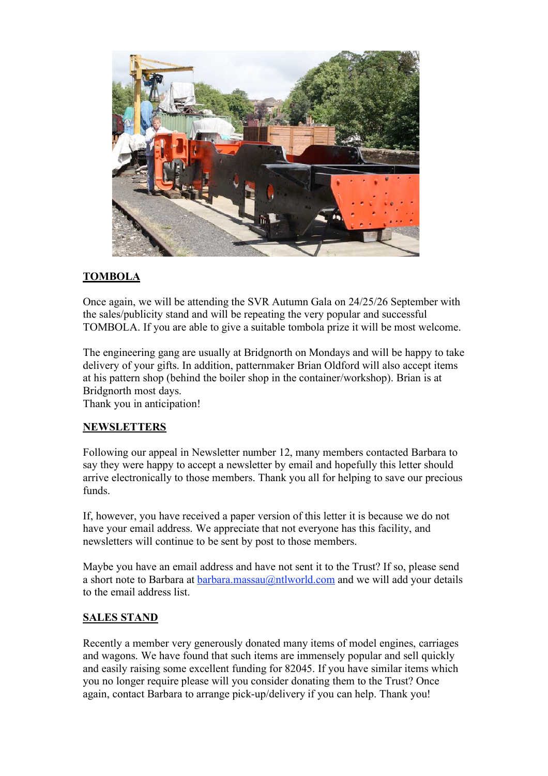

## **TOMBOLA**

Once again, we will be attending the SVR Autumn Gala on 24/25/26 September with the sales/publicity stand and will be repeating the very popular and successful TOMBOLA. If you are able to give a suitable tombola prize it will be most welcome.

The engineering gang are usually at Bridgnorth on Mondays and will be happy to take delivery of your gifts. In addition, patternmaker Brian Oldford will also accept items at his pattern shop (behind the boiler shop in the container/workshop). Brian is at Bridgnorth most days.

Thank you in anticipation!

## **NEWSLETTERS**

Following our appeal in Newsletter number 12, many members contacted Barbara to say they were happy to accept a newsletter by email and hopefully this letter should arrive electronically to those members. Thank you all for helping to save our precious funds.

If, however, you have received a paper version of this letter it is because we do not have your email address. We appreciate that not everyone has this facility, and newsletters will continue to be sent by post to those members.

Maybe you have an email address and have not sent it to the Trust? If so, please send a short note to Barbara at barbara.massau $@$ ntlworld.com and we will add your details to the email address list.

## **SALES STAND**

Recently a member very generously donated many items of model engines, carriages and wagons. We have found that such items are immensely popular and sell quickly and easily raising some excellent funding for 82045. If you have similar items which you no longer require please will you consider donating them to the Trust? Once again, contact Barbara to arrange pick-up/delivery if you can help. Thank you!